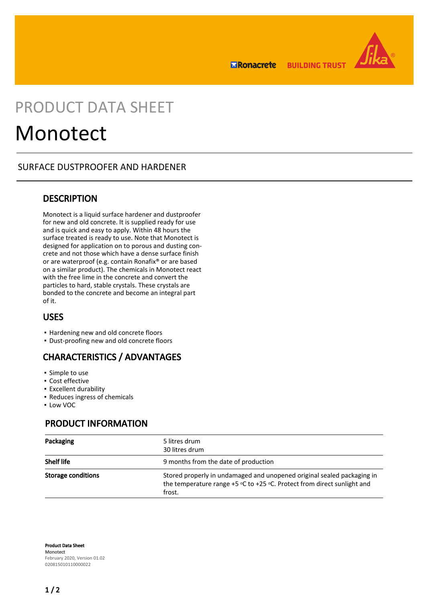**ERonacrete BUILDING TRUST** 



## PRODUCT DATA SHEET

# Monotect

## SURFACE DUSTPROOFER AND HARDENER

## **DESCRIPTION**

Monotect is a liquid surface hardener and dustproofer for new and old concrete. It is supplied ready for use and is quick and easy to apply. Within 48 hours the surface treated is ready to use. Note that Monotect is designed for application on to porous and dusting concrete and not those which have a dense surface finish or are waterproof (e.g. contain Ronafix® or are based on a similar product). The chemicals in Monotect react with the free lime in the concrete and convert the particles to hard, stable crystals. These crystals are bonded to the concrete and become an integral part of it.

## USES

- Hardening new and old concrete floors
- Dust-proofing new and old concrete floors

## CHARACTERISTICS / ADVANTAGES

- Simple to use
- Cost effective
- Excellent durability
- Reduces ingress of chemicals
- Low VOC

## PRODUCT INFORMATION

| Packaging          | 5 litres drum<br>30 litres drum                                                                                                                                 |
|--------------------|-----------------------------------------------------------------------------------------------------------------------------------------------------------------|
| <b>Shelf life</b>  | 9 months from the date of production                                                                                                                            |
| Storage conditions | Stored properly in undamaged and unopened original sealed packaging in<br>the temperature range $+5$ °C to $+25$ °C. Protect from direct sunlight and<br>frost. |

Product Data Sheet **Monotect** February 2020, Version 01.02 020815010110000022